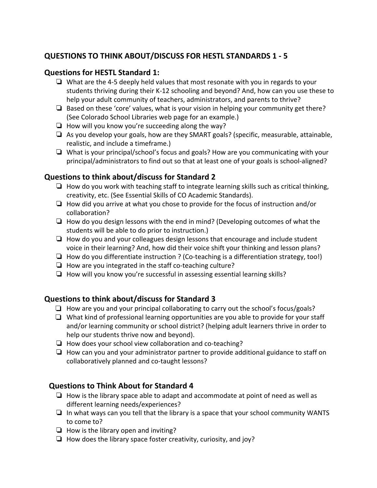# **QUESTIONS TO THINK ABOUT/DISCUSS FOR HESTL STANDARDS 1 - 5**

#### **Questions for HESTL Standard 1:**

- ❏ What are the 4-5 deeply held values that most resonate with you in regards to your students thriving during their K-12 schooling and beyond? And, how can you use these to help your adult community of teachers, administrators, and parents to thrive?
- ❏ Based on these 'core' values, what is your vision in helping your community get there? (See Colorado School Libraries web page for an example.)
- ❏ How will you know you're succeeding along the way?
- ❏ As you develop your goals, how are they SMART goals? (specific, measurable, attainable, realistic, and include a timeframe.)
- ❏ What is your principal/school's focus and goals? How are you communicating with your principal/administrators to find out so that at least one of your goals is school-aligned?

#### **Questions to think about/discuss for Standard 2**

- $\Box$  How do you work with teaching staff to integrate learning skills such as critical thinking, creativity, etc. (See Essential Skills of CO Academic Standards).
- ❏ How did you arrive at what you chose to provide for the focus of instruction and/or collaboration?
- ❏ How do you design lessons with the end in mind? (Developing outcomes of what the students will be able to do prior to instruction.)
- ❏ How do you and your colleagues design lessons that encourage and include student voice in their learning? And, how did their voice shift your thinking and lesson plans?
- ❏ How do you differentiate instruction ? (Co-teaching is a differentiation strategy, too!)
- ❏ How are you integrated in the staff co-teaching culture?
- ❏ How will you know you're successful in assessing essential learning skills?

# **Questions to think about/discuss for Standard 3**

- $\Box$  How are you and your principal collaborating to carry out the school's focus/goals?
- ❏ What kind of professional learning opportunities are you able to provide for your staff and/or learning community or school district? (helping adult learners thrive in order to help our students thrive now and beyond).
- ❏ How does your school view collaboration and co-teaching?
- ❏ How can you and your administrator partner to provide additional guidance to staff on collaboratively planned and co-taught lessons?

# **Questions to Think About for Standard 4**

- ❏ How is the library space able to adapt and accommodate at point of need as well as different learning needs/experiences?
- ❏ In what ways can you tell that the library is a space that your school community WANTS to come to?
- ❏ How is the library open and inviting?
- ❏ How does the library space foster creativity, curiosity, and joy?